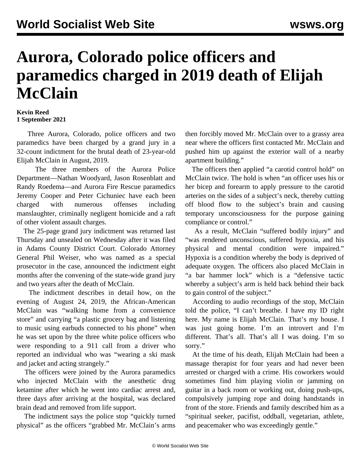## **Aurora, Colorado police officers and paramedics charged in 2019 death of Elijah McClain**

## **Kevin Reed 1 September 2021**

 Three Aurora, Colorado, police officers and two paramedics have been charged by a grand jury in a 32-count indictment for the brutal death of 23-year-old Elijah McClain in August, 2019.

 The three members of the Aurora Police Department—Nathan Woodyard, Jason Rosenblatt and Randy Roedema—and Aurora Fire Rescue paramedics Jeremy Cooper and Peter Cichuniec have each been charged with numerous offenses including manslaughter, criminally negligent homicide and a raft of other violent assault charges.

 The 25-page grand jury indictment was returned last Thursday and unsealed on Wednesday after it was filed in Adams County District Court. Colorado Attorney General Phil Weiser, who was named as a special prosecutor in the case, announced the indictment eight months after the convening of the state-wide grand jury and two years after the death of McClain.

 The indictment describes in detail how, on the evening of August 24, 2019, the African-American McClain was "walking home from a convenience store" and carrying "a plastic grocery bag and listening to music using earbuds connected to his phone" when he was set upon by the three white police officers who were responding to a 911 call from a driver who reported an individual who was "wearing a ski mask and jacket and acting strangely."

 The officers were joined by the Aurora paramedics who injected McClain with the anesthetic drug ketamine after which he went into cardiac arrest and, three days after arriving at the hospital, was declared brain dead and removed from life support.

 The indictment says the police stop "quickly turned physical" as the officers "grabbed Mr. McClain's arms then forcibly moved Mr. McClain over to a grassy area near where the officers first contacted Mr. McClain and pushed him up against the exterior wall of a nearby apartment building."

 The officers then applied "a carotid control hold" on McClain twice. The hold is when "an officer uses his or her bicep and forearm to apply pressure to the carotid arteries on the sides of a subject's neck, thereby cutting off blood flow to the subject's brain and causing temporary unconsciousness for the purpose gaining compliance or control."

 As a result, McClain "suffered bodily injury" and "was rendered unconscious, suffered hypoxia, and his physical and mental condition were impaired." Hypoxia is a condition whereby the body is deprived of adequate oxygen. The officers also placed McClain in "a bar hammer lock" which is a "defensive tactic whereby a subject's arm is held back behind their back to gain control of the subject."

 According to audio recordings of the stop, McClain told the police, "I can't breathe. I have my ID right here. My name is Elijah McClain. That's my house. I was just going home. I'm an introvert and I'm different. That's all. That's all I was doing. I'm so sorry."

 At the time of his death, Elijah McClain had been a massage therapist for four years and had never been arrested or charged with a crime. His coworkers would sometimes find him playing violin or jamming on guitar in a back room or working out, doing push-ups, compulsively jumping rope and doing handstands in front of the store. Friends and family described him as a "spiritual seeker, pacifist, oddball, vegetarian, athlete, and peacemaker who was exceedingly gentle."